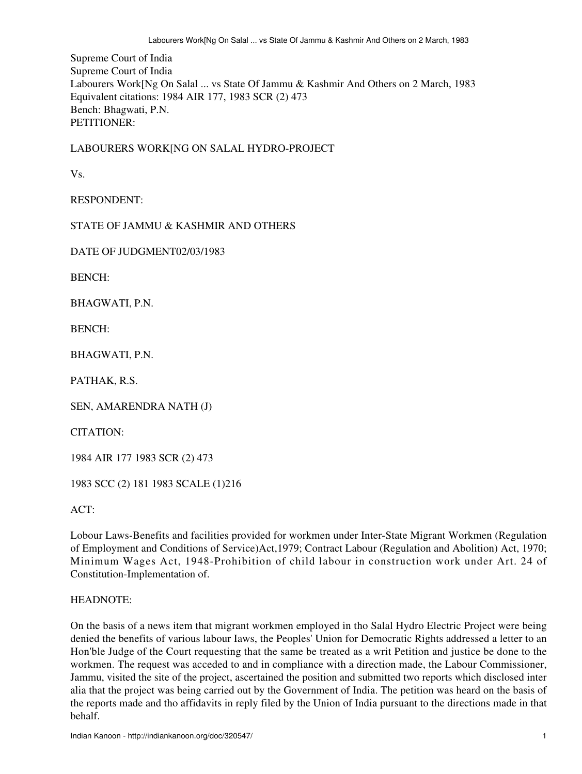Supreme Court of India Supreme Court of India Labourers Work[Ng On Salal ... vs State Of Jammu & Kashmir And Others on 2 March, 1983 Equivalent citations: 1984 AIR 177, 1983 SCR (2) 473 Bench: Bhagwati, P.N. PETITIONER:

LABOURERS WORK[NG ON SALAL HYDRO-PROJECT

Vs.

RESPONDENT:

STATE OF JAMMU & KASHMIR AND OTHERS

DATE OF JUDGMENT02/03/1983

BENCH:

BHAGWATI, P.N.

BENCH:

BHAGWATI, P.N.

PATHAK, R.S.

SEN, AMARENDRA NATH (J)

CITATION:

1984 AIR 177 1983 SCR (2) 473

1983 SCC (2) 181 1983 SCALE (1)216

ACT:

Lobour Laws-Benefits and facilities provided for workmen under Inter-State Migrant Workmen (Regulation of Employment and Conditions of Service)Act,1979; Contract Labour (Regulation and Abolition) Act, 1970; Minimum Wages Act, 1948-Prohibition of child labour in construction work under Art. 24 of Constitution-Implementation of.

### HEADNOTE:

On the basis of a news item that migrant workmen employed in tho Salal Hydro Electric Project were being denied the benefits of various labour Iaws, the Peoples' Union for Democratic Rights addressed a letter to an Hon'ble Judge of the Court requesting that the same be treated as a writ Petition and justice be done to the workmen. The request was acceded to and in compliance with a direction made, the Labour Commissioner, Jammu, visited the site of the project, ascertained the position and submitted two reports which disclosed inter alia that the project was being carried out by the Government of India. The petition was heard on the basis of the reports made and tho affidavits in reply filed by the Union of India pursuant to the directions made in that behalf.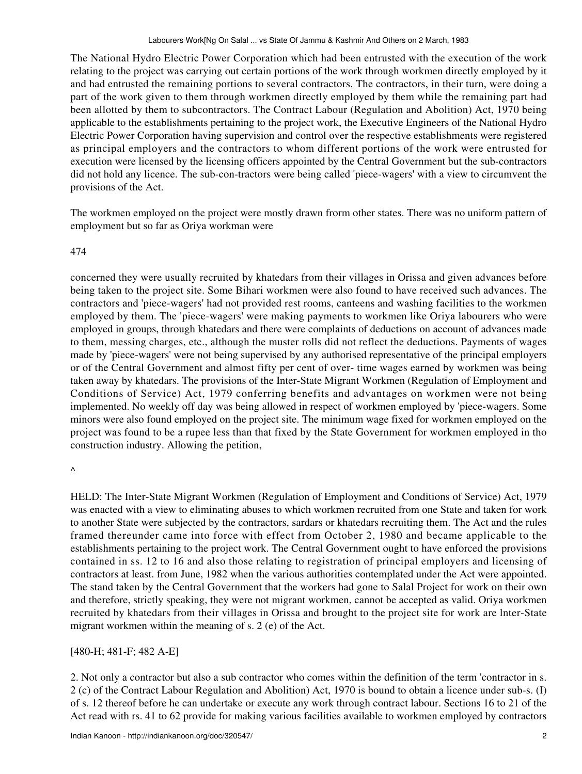The National Hydro Electric Power Corporation which had been entrusted with the execution of the work relating to the project was carrying out certain portions of the work through workmen directly employed by it and had entrusted the remaining portions to several contractors. The contractors, in their turn, were doing a part of the work given to them through workmen directly employed by them while the remaining part had been allotted by them to subcontractors. The Contract Labour (Regulation and Abolition) Act, 1970 being applicable to the establishments pertaining to the project work, the Executive Engineers of the National Hydro Electric Power Corporation having supervision and control over the respective establishments were registered as principal employers and the contractors to whom different portions of the work were entrusted for execution were licensed by the licensing officers appointed by the Central Government but the sub-contractors did not hold any licence. The sub-con-tractors were being called 'piece-wagers' with a view to circumvent the provisions of the Act.

The workmen employed on the project were mostly drawn frorm other states. There was no uniform pattern of employment but so far as Oriya workman were

## 474

concerned they were usually recruited by khatedars from their villages in Orissa and given advances before being taken to the project site. Some Bihari workmen were also found to have received such advances. The contractors and 'piece-wagers' had not provided rest rooms, canteens and washing facilities to the workmen employed by them. The 'piece-wagers' were making payments to workmen like Oriya labourers who were employed in groups, through khatedars and there were complaints of deductions on account of advances made to them, messing charges, etc., although the muster rolls did not reflect the deductions. Payments of wages made by 'piece-wagers' were not being supervised by any authorised representative of the principal employers or of the Central Government and almost fifty per cent of over- time wages earned by workmen was being taken away by khatedars. The provisions of the Inter-State Migrant Workmen (Regulation of Employment and Conditions of Service) Act, 1979 conferring benefits and advantages on workmen were not being implemented. No weekly off day was being allowed in respect of workmen employed by 'piece-wagers. Some minors were also found employed on the project site. The minimum wage fixed for workmen employed on the project was found to be a rupee less than that fixed by the State Government for workmen employed in tho construction industry. Allowing the petition,

 $\boldsymbol{\wedge}$ 

HELD: The Inter-State Migrant Workmen (Regulation of Employment and Conditions of Service) Act, 1979 was enacted with a view to eliminating abuses to which workmen recruited from one State and taken for work to another State were subjected by the contractors, sardars or khatedars recruiting them. The Act and the rules framed thereunder came into force with effect from October 2, 1980 and became applicable to the establishments pertaining to the project work. The Central Government ought to have enforced the provisions contained in ss. 12 to 16 and also those relating to registration of principal employers and licensing of contractors at least. from June, 1982 when the various authorities contemplated under the Act were appointed. The stand taken by the Central Government that the workers had gone to Salal Project for work on their own and therefore, strictly speaking, they were not migrant workmen, cannot be accepted as valid. Oriya workmen recruited by khatedars from their villages in Orissa and brought to the project site for work are lnter-State migrant workmen within the meaning of s. 2 (e) of the Act.

[480-H; 481-F; 482 A-E]

2. Not only a contractor but also a sub contractor who comes within the definition of the term 'contractor in s. 2 (c) of the Contract Labour Regulation and Abolition) Act, 1970 is bound to obtain a licence under sub-s. (I) of s. 12 thereof before he can undertake or execute any work through contract labour. Sections 16 to 21 of the Act read with rs. 41 to 62 provide for making various facilities available to workmen employed by contractors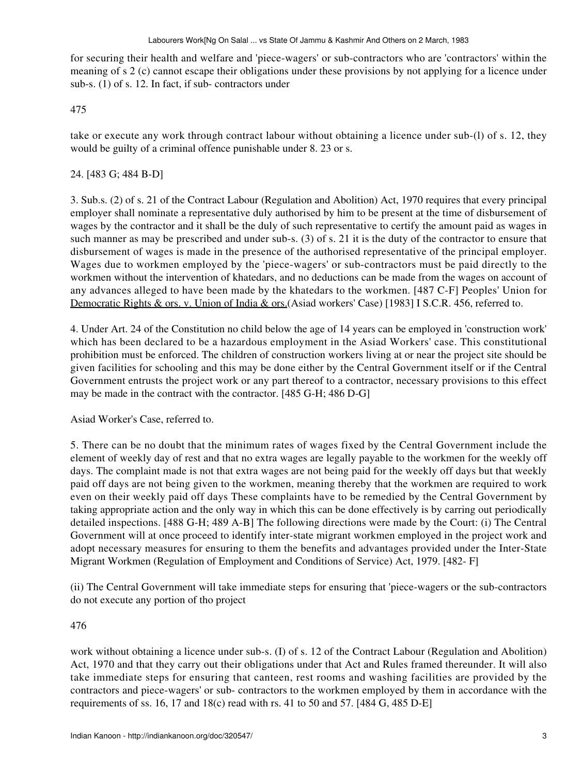for securing their health and welfare and 'piece-wagers' or sub-contractors who are 'contractors' within the meaning of s 2 (c) cannot escape their obligations under these provisions by not applying for a licence under sub-s. (1) of s. 12. In fact, if sub- contractors under

## 475

take or execute any work through contract labour without obtaining a licence under sub-(l) of s. 12, they would be guilty of a criminal offence punishable under 8. 23 or s.

## 24. [483 G; 484 B-D]

3. Sub.s. (2) of s. 21 of the Contract Labour (Regulation and Abolition) Act, 1970 requires that every principal employer shall nominate a representative duly authorised by him to be present at the time of disbursement of wages by the contractor and it shall be the duly of such representative to certify the amount paid as wages in such manner as may be prescribed and under sub-s. (3) of s. 21 it is the duty of the contractor to ensure that disbursement of wages is made in the presence of the authorised representative of the principal employer. Wages due to workmen employed by the 'piece-wagers' or sub-contractors must be paid directly to the workmen without the intervention of khatedars, and no deductions can be made from the wages on account of any advances alleged to have been made by the khatedars to the workmen. [487 C-F] Peoples' Union for Democratic Rights & ors. v. Union of India & ors. (Asiad workers' Case) [1983] I S.C.R. 456, referred to.

4. Under Art. 24 of the Constitution no child below the age of 14 years can be employed in 'construction work' which has been declared to be a hazardous employment in the Asiad Workers' case. This constitutional prohibition must be enforced. The children of construction workers living at or near the project site should be given facilities for schooling and this may be done either by the Central Government itself or if the Central Government entrusts the project work or any part thereof to a contractor, necessary provisions to this effect may be made in the contract with the contractor. [485 G-H; 486 D-G]

Asiad Worker's Case, referred to.

5. There can be no doubt that the minimum rates of wages fixed by the Central Government include the element of weekly day of rest and that no extra wages are legally payable to the workmen for the weekly off days. The complaint made is not that extra wages are not being paid for the weekly off days but that weekly paid off days are not being given to the workmen, meaning thereby that the workmen are required to work even on their weekly paid off days These complaints have to be remedied by the Central Government by taking appropriate action and the only way in which this can be done effectively is by carring out periodically detailed inspections. [488 G-H; 489 A-B] The following directions were made by the Court: (i) The Central Government will at once proceed to identify inter-state migrant workmen employed in the project work and adopt necessary measures for ensuring to them the benefits and advantages provided under the Inter-State Migrant Workmen (Regulation of Employment and Conditions of Service) Act, 1979. [482- F]

(ii) The Central Government will take immediate steps for ensuring that 'piece-wagers or the sub-contractors do not execute any portion of tho project

## 476

work without obtaining a licence under sub-s. (I) of s. 12 of the Contract Labour (Regulation and Abolition) Act, 1970 and that they carry out their obligations under that Act and Rules framed thereunder. It will also take immediate steps for ensuring that canteen, rest rooms and washing facilities are provided by the contractors and piece-wagers' or sub- contractors to the workmen employed by them in accordance with the requirements of ss. 16, 17 and 18(c) read with rs. 41 to 50 and 57. [484 G, 485 D-E]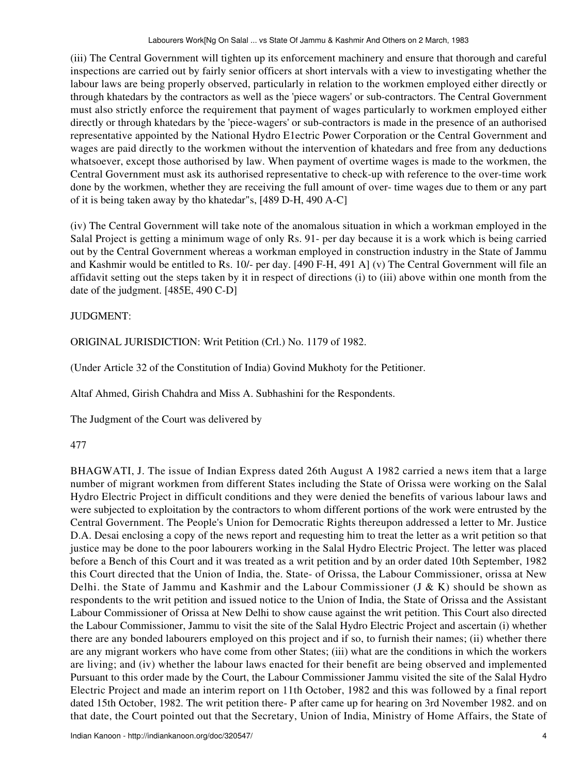(iii) The Central Government will tighten up its enforcement machinery and ensure that thorough and careful inspections are carried out by fairly senior officers at short intervals with a view to investigating whether the labour laws are being properly observed, particularly in relation to the workmen employed either directly or through khatedars by the contractors as well as the 'piece wagers' or sub-contractors. The Central Government must also strictly enforce the requirement that payment of wages particularly to workmen employed either directly or through khatedars by the 'piece-wagers' or sub-contractors is made in the presence of an authorised representative appointed by the National Hydro E1ectric Power Corporation or the Central Government and wages are paid directly to the workmen without the intervention of khatedars and free from any deductions whatsoever, except those authorised by law. When payment of overtime wages is made to the workmen, the Central Government must ask its authorised representative to check-up with reference to the over-time work done by the workmen, whether they are receiving the full amount of over- time wages due to them or any part of it is being taken away by tho khatedar"s, [489 D-H, 490 A-C]

(iv) The Central Government will take note of the anomalous situation in which a workman employed in the Salal Project is getting a minimum wage of only Rs. 91- per day because it is a work which is being carried out by the Central Government whereas a workman employed in construction industry in the State of Jammu and Kashmir would be entitled to Rs. 10/- per day. [490 F-H, 491 A] (v) The Central Government will file an affidavit setting out the steps taken by it in respect of directions (i) to (iii) above within one month from the date of the judgment. [485E, 490 C-D]

# JUDGMENT:

ORlGINAL JURISDICTION: Writ Petition (Crl.) No. 1179 of 1982.

(Under Article 32 of the Constitution of India) Govind Mukhoty for the Petitioner.

Altaf Ahmed, Girish Chahdra and Miss A. Subhashini for the Respondents.

The Judgment of the Court was delivered by

# 477

BHAGWATI, J. The issue of Indian Express dated 26th August A 1982 carried a news item that a large number of migrant workmen from different States including the State of Orissa were working on the Salal Hydro Electric Project in difficult conditions and they were denied the benefits of various labour laws and were subjected to exploitation by the contractors to whom different portions of the work were entrusted by the Central Government. The People's Union for Democratic Rights thereupon addressed a letter to Mr. Justice D.A. Desai enclosing a copy of the news report and requesting him to treat the letter as a writ petition so that justice may be done to the poor labourers working in the Salal Hydro Electric Project. The letter was placed before a Bench of this Court and it was treated as a writ petition and by an order dated 10th September, 1982 this Court directed that the Union of India, the. State- of Orissa, the Labour Commissioner, orissa at New Delhi. the State of Jammu and Kashmir and the Labour Commissioner (J & K) should be shown as respondents to the writ petition and issued notice to the Union of India, the State of Orissa and the Assistant Labour Commissioner of Orissa at New Delhi to show cause against the writ petition. This Court also directed the Labour Commissioner, Jammu to visit the site of the Salal Hydro Electric Project and ascertain (i) whether there are any bonded labourers employed on this project and if so, to furnish their names; (ii) whether there are any migrant workers who have come from other States; (iii) what are the conditions in which the workers are living; and (iv) whether the labour laws enacted for their benefit are being observed and implemented Pursuant to this order made by the Court, the Labour Commissioner Jammu visited the site of the Salal Hydro Electric Project and made an interim report on 11th October, 1982 and this was followed by a final report dated 15th October, 1982. The writ petition there- P after came up for hearing on 3rd November 1982. and on that date, the Court pointed out that the Secretary, Union of India, Ministry of Home Affairs, the State of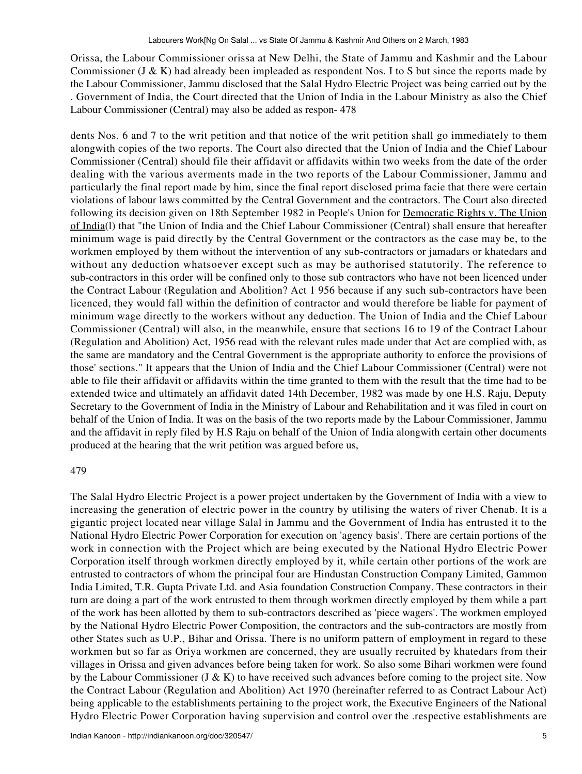Orissa, the Labour Commissioner orissa at New Delhi, the State of Jammu and Kashmir and the Labour Commissioner (J & K) had already been impleaded as respondent Nos. I to S but since the reports made by the Labour Commissioner, Jammu disclosed that the Salal Hydro Electric Project was being carried out by the . Government of India, the Court directed that the Union of India in the Labour Ministry as also the Chief Labour Commissioner (Central) may also be added as respon- 478

dents Nos. 6 and 7 to the writ petition and that notice of the writ petition shall go immediately to them alongwith copies of the two reports. The Court also directed that the Union of India and the Chief Labour Commissioner (Central) should file their affidavit or affidavits within two weeks from the date of the order dealing with the various averments made in the two reports of the Labour Commissioner, Jammu and particularly the final report made by him, since the final report disclosed prima facie that there were certain violations of labour laws committed by the Central Government and the contractors. The Court also directed following its decision given on 18th September 1982 in People's Union for Democratic Rights v. The Union of India(l) that "the Union of India and the Chief Labour Commissioner (Central) shall ensure that hereafter minimum wage is paid directly by the Central Government or the contractors as the case may be, to the workmen employed by them without the intervention of any sub-contractors or jamadars or khatedars and without any deduction whatsoever except such as may be authorised statutorily. The reference to sub-contractors in this order will be confined only to those sub contractors who have not been licenced under the Contract Labour (Regulation and Abolition? Act 1 956 because if any such sub-contractors have been licenced, they would fall within the definition of contractor and would therefore be liable for payment of minimum wage directly to the workers without any deduction. The Union of India and the Chief Labour Commissioner (Central) will also, in the meanwhile, ensure that sections 16 to 19 of the Contract Labour (Regulation and Abolition) Act, 1956 read with the relevant rules made under that Act are complied with, as the same are mandatory and the Central Government is the appropriate authority to enforce the provisions of those' sections." It appears that the Union of India and the Chief Labour Commissioner (Central) were not able to file their affidavit or affidavits within the time granted to them with the result that the time had to be extended twice and ultimately an affidavit dated 14th December, 1982 was made by one H.S. Raju, Deputy Secretary to the Government of India in the Ministry of Labour and Rehabilitation and it was filed in court on behalf of the Union of India. It was on the basis of the two reports made by the Labour Commissioner, Jammu and the affidavit in reply filed by H.S Raju on behalf of the Union of India alongwith certain other documents produced at the hearing that the writ petition was argued before us,

## 479

The Salal Hydro Electric Project is a power project undertaken by the Government of India with a view to increasing the generation of electric power in the country by utilising the waters of river Chenab. It is a gigantic project located near village Salal in Jammu and the Government of India has entrusted it to the National Hydro Electric Power Corporation for execution on 'agency basis'. There are certain portions of the work in connection with the Project which are being executed by the National Hydro Electric Power Corporation itself through workmen directly employed by it, while certain other portions of the work are entrusted to contractors of whom the principal four are Hindustan Construction Company Limited, Gammon India Limited, T.R. Gupta Private Ltd. and Asia foundation Construction Company. These contractors in their turn are doing a part of the work entrusted to them through workmen directly employed by them while a part of the work has been allotted by them to sub-contractors described as 'piece wagers'. The workmen employed by the National Hydro Electric Power Composition, the contractors and the sub-contractors are mostly from other States such as U.P., Bihar and Orissa. There is no uniform pattern of employment in regard to these workmen but so far as Oriya workmen are concerned, they are usually recruited by khatedars from their villages in Orissa and given advances before being taken for work. So also some Bihari workmen were found by the Labour Commissioner (J & K) to have received such advances before coming to the project site. Now the Contract Labour (Regulation and Abolition) Act 1970 (hereinafter referred to as Contract Labour Act) being applicable to the establishments pertaining to the project work, the Executive Engineers of the National Hydro Electric Power Corporation having supervision and control over the .respective establishments are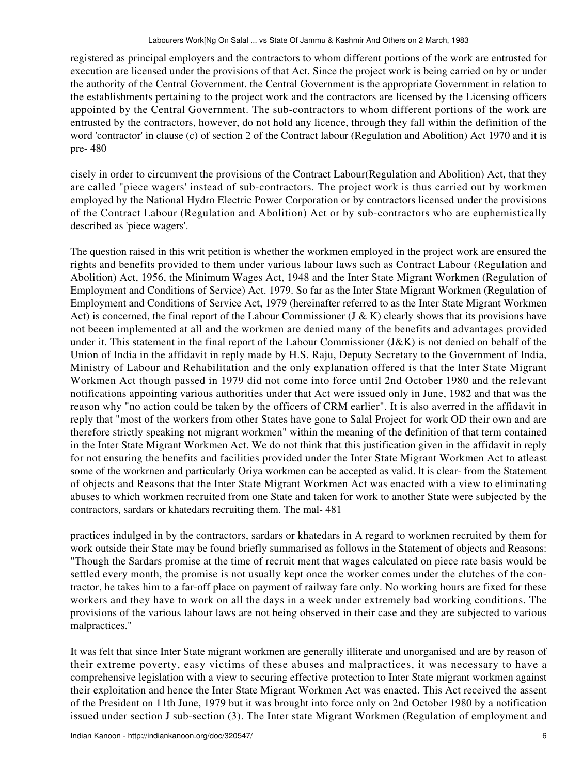registered as principal employers and the contractors to whom different portions of the work are entrusted for execution are licensed under the provisions of that Act. Since the project work is being carried on by or under the authority of the Central Government. the Central Government is the appropriate Government in relation to the establishments pertaining to the project work and the contractors are licensed by the Licensing officers appointed by the Central Government. The sub-contractors to whom different portions of the work are entrusted by the contractors, however, do not hold any licence, through they fall within the definition of the word 'contractor' in clause (c) of section 2 of the Contract labour (Regulation and Abolition) Act 1970 and it is pre- 480

cisely in order to circumvent the provisions of the Contract Labour(Regulation and Abolition) Act, that they are called "piece wagers' instead of sub-contractors. The project work is thus carried out by workmen employed by the National Hydro Electric Power Corporation or by contractors licensed under the provisions of the Contract Labour (Regulation and Abolition) Act or by sub-contractors who are euphemistically described as 'piece wagers'.

The question raised in this writ petition is whether the workmen employed in the project work are ensured the rights and benefits provided to them under various labour laws such as Contract Labour (Regulation and Abolition) Act, 1956, the Minimum Wages Act, 1948 and the Inter State Migrant Workmen (Regulation of Employment and Conditions of Service) Act. 1979. So far as the Inter State Migrant Workmen (Regulation of Employment and Conditions of Service Act, 1979 (hereinafter referred to as the Inter State Migrant Workmen Act) is concerned, the final report of the Labour Commissioner (J & K) clearly shows that its provisions have not beeen implemented at all and the workmen are denied many of the benefits and advantages provided under it. This statement in the final report of the Labour Commissioner (J&K) is not denied on behalf of the Union of India in the affidavit in reply made by H.S. Raju, Deputy Secretary to the Government of India, Ministry of Labour and Rehabilitation and the only explanation offered is that the lnter State Migrant Workmen Act though passed in 1979 did not come into force until 2nd October 1980 and the relevant notifications appointing various authorities under that Act were issued only in June, 1982 and that was the reason why "no action could be taken by the officers of CRM earlier". It is also averred in the affidavit in reply that "most of the workers from other States have gone to Salal Project for work OD their own and are therefore strictly speaking not migrant workmen" within the meaning of the definition of that term contained in the Inter State Migrant Workmen Act. We do not think that this justification given in the affidavit in reply for not ensuring the benefits and facilities provided under the Inter State Migrant Workmen Act to atleast some of the workrnen and particularly Oriya workmen can be accepted as valid. lt is clear- from the Statement of objects and Reasons that the Inter State Migrant Workmen Act was enacted with a view to eliminating abuses to which workmen recruited from one State and taken for work to another State were subjected by the contractors, sardars or khatedars recruiting them. The mal- 481

practices indulged in by the contractors, sardars or khatedars in A regard to workmen recruited by them for work outside their State may be found briefly summarised as follows in the Statement of objects and Reasons: "Though the Sardars promise at the time of recruit ment that wages calculated on piece rate basis would be settled every month, the promise is not usually kept once the worker comes under the clutches of the contractor, he takes him to a far-off place on payment of railway fare only. No working hours are fixed for these workers and they have to work on all the days in a week under extremely bad working conditions. The provisions of the various labour laws are not being observed in their case and they are subjected to various malpractices."

It was felt that since Inter State migrant workmen are generally illiterate and unorganised and are by reason of their extreme poverty, easy victims of these abuses and malpractices, it was necessary to have a comprehensive legislation with a view to securing effective protection to Inter State migrant workmen against their exploitation and hence the Inter State Migrant Workmen Act was enacted. This Act received the assent of the President on 11th June, 1979 but it was brought into force only on 2nd October 1980 by a notification issued under section J sub-section (3). The Inter state Migrant Workmen (Regulation of employment and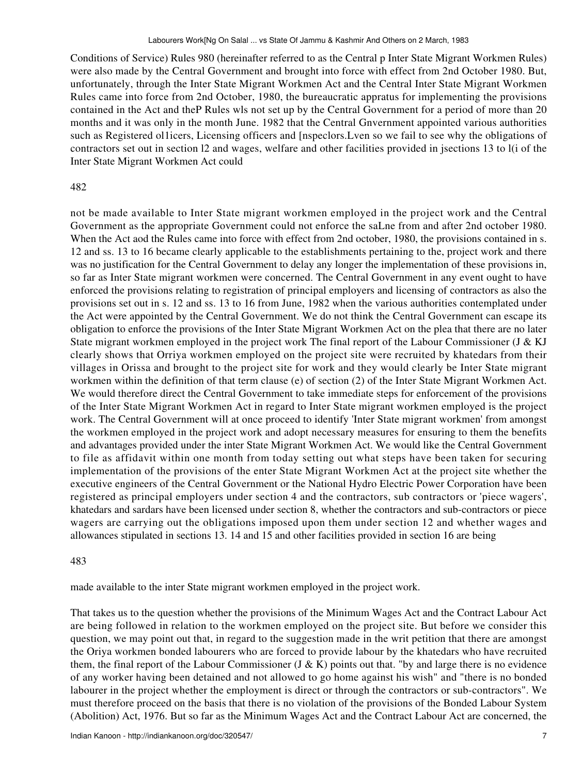Conditions of Service) Rules 980 (hereinafter referred to as the Central p Inter State Migrant Workmen Rules) were also made by the Central Government and brought into force with effect from 2nd October 1980. But, unfortunately, through the Inter State Migrant Workmen Act and the Central Inter State Migrant Workmen Rules came into force from 2nd October, 1980, the bureaucratic appratus for implementing the provisions contained in the Act and theP Rules wls not set up by the Central Government for a period of more than 20 months and it was only in the month June. 1982 that the Central Gnvernment appointed various authorities such as Registered ol1icers, Licensing officers and [nspeclors.Lven so we fail to see why the obligations of contractors set out in section l2 and wages, welfare and other facilities provided in jsections 13 to l(i of the Inter State Migrant Workmen Act could

### 482

not be made available to Inter State migrant workmen employed in the project work and the Central Government as the appropriate Government could not enforce the saLne from and after 2nd october 1980. When the Act aod the Rules came into force with effect from 2nd october, 1980, the provisions contained in s. 12 and ss. 13 to 16 became clearly applicable to the establishments pertaining to the, project work and there was no justification for the Central Government to delay any longer the implementation of these provisions in, so far as Inter State migrant workmen were concerned. The Central Government in any event ought to have enforced the provisions relating to registration of principal employers and licensing of contractors as also the provisions set out in s. 12 and ss. 13 to 16 from June, 1982 when the various authorities contemplated under the Act were appointed by the Central Government. We do not think the Central Government can escape its obligation to enforce the provisions of the Inter State Migrant Workmen Act on the plea that there are no later State migrant workmen employed in the project work The final report of the Labour Commissioner (J & KJ clearly shows that Orriya workmen employed on the project site were recruited by khatedars from their villages in Orissa and brought to the project site for work and they would clearly be Inter State migrant workmen within the definition of that term clause (e) of section (2) of the Inter State Migrant Workmen Act. We would therefore direct the Central Government to take immediate steps for enforcement of the provisions of the Inter State Migrant Workmen Act in regard to Inter State migrant workmen employed is the project work. The Central Government will at once proceed to identify 'Inter State migrant workmen' from amongst the workmen employed in the project work and adopt necessary measures for ensuring to them the benefits and advantages provided under the inter State Migrant Workmen Act. We would like the Central Government to file as affidavit within one month from today setting out what steps have been taken for securing implementation of the provisions of the enter State Migrant Workmen Act at the project site whether the executive engineers of the Central Government or the National Hydro Electric Power Corporation have been registered as principal employers under section 4 and the contractors, sub contractors or 'piece wagers', khatedars and sardars have been licensed under section 8, whether the contractors and sub-contractors or piece wagers are carrying out the obligations imposed upon them under section 12 and whether wages and allowances stipulated in sections 13. 14 and 15 and other facilities provided in section 16 are being

#### 483

made available to the inter State migrant workmen employed in the project work.

That takes us to the question whether the provisions of the Minimum Wages Act and the Contract Labour Act are being followed in relation to the workmen employed on the project site. But before we consider this question, we may point out that, in regard to the suggestion made in the writ petition that there are amongst the Oriya workmen bonded labourers who are forced to provide labour by the khatedars who have recruited them, the final report of the Labour Commissioner (J & K) points out that. "by and large there is no evidence of any worker having been detained and not allowed to go home against his wish" and "there is no bonded labourer in the project whether the employment is direct or through the contractors or sub-contractors". We must therefore proceed on the basis that there is no violation of the provisions of the Bonded Labour System (Abolition) Act, 1976. But so far as the Minimum Wages Act and the Contract Labour Act are concerned, the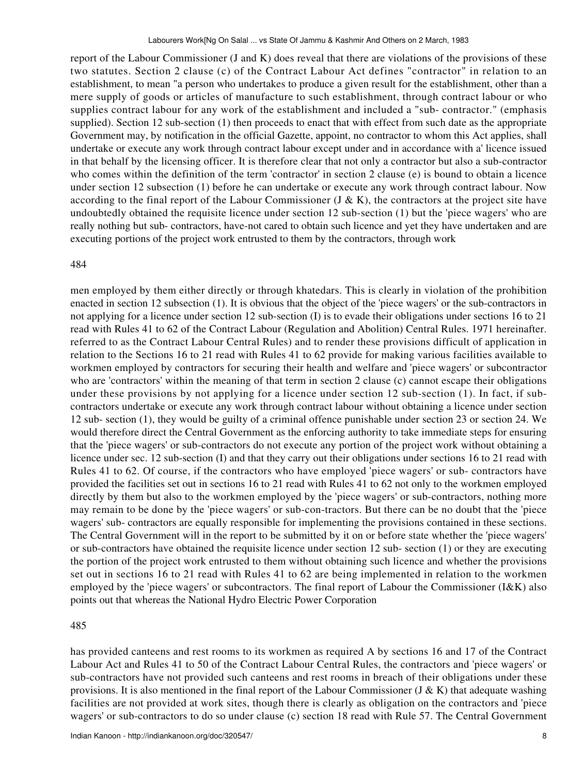report of the Labour Commissioner (J and K) does reveal that there are violations of the provisions of these two statutes. Section 2 clause (c) of the Contract Labour Act defines "contractor" in relation to an establishment, to mean "a person who undertakes to produce a given result for the establishment, other than a mere supply of goods or articles of manufacture to such establishment, through contract labour or who supplies contract labour for any work of the establishment and included a "sub- contractor." (emphasis supplied). Section 12 sub-section (1) then proceeds to enact that with effect from such date as the appropriate Government may, by notification in the official Gazette, appoint, no contractor to whom this Act applies, shall undertake or execute any work through contract labour except under and in accordance with a' licence issued in that behalf by the licensing officer. It is therefore clear that not only a contractor but also a sub-contractor who comes within the definition of the term 'contractor' in section 2 clause (e) is bound to obtain a licence under section 12 subsection (1) before he can undertake or execute any work through contract labour. Now according to the final report of the Labour Commissioner (J & K), the contractors at the project site have undoubtedly obtained the requisite licence under section 12 sub-section (1) but the 'piece wagers' who are really nothing but sub- contractors, have-not cared to obtain such licence and yet they have undertaken and are executing portions of the project work entrusted to them by the contractors, through work

#### 484

men employed by them either directly or through khatedars. This is clearly in violation of the prohibition enacted in section 12 subsection (1). It is obvious that the object of the 'piece wagers' or the sub-contractors in not applying for a licence under section 12 sub-section (I) is to evade their obligations under sections 16 to 21 read with Rules 41 to 62 of the Contract Labour (Regulation and Abolition) Central Rules. 1971 hereinafter. referred to as the Contract Labour Central Rules) and to render these provisions difficult of application in relation to the Sections 16 to 21 read with Rules 41 to 62 provide for making various facilities available to workmen employed by contractors for securing their health and welfare and 'piece wagers' or subcontractor who are 'contractors' within the meaning of that term in section 2 clause (c) cannot escape their obligations under these provisions by not applying for a licence under section 12 sub-section (1). In fact, if subcontractors undertake or execute any work through contract labour without obtaining a licence under section 12 sub- section (1), they would be guilty of a criminal offence punishable under section 23 or section 24. We would therefore direct the Central Government as the enforcing authority to take immediate steps for ensuring that the 'piece wagers' or sub-contractors do not execute any portion of the project work without obtaining a licence under sec. 12 sub-section (I) and that they carry out their obligations under sections 16 to 21 read with Rules 41 to 62. Of course, if the contractors who have employed 'piece wagers' or sub- contractors have provided the facilities set out in sections 16 to 21 read with Rules 41 to 62 not only to the workmen employed directly by them but also to the workmen employed by the 'piece wagers' or sub-contractors, nothing more may remain to be done by the 'piece wagers' or sub-con-tractors. But there can be no doubt that the 'piece wagers' sub- contractors are equally responsible for implementing the provisions contained in these sections. The Central Government will in the report to be submitted by it on or before state whether the 'piece wagers' or sub-contractors have obtained the requisite licence under section 12 sub- section (1) or they are executing the portion of the project work entrusted to them without obtaining such licence and whether the provisions set out in sections 16 to 21 read with Rules 41 to 62 are being implemented in relation to the workmen employed by the 'piece wagers' or subcontractors. The final report of Labour the Commissioner (I&K) also points out that whereas the National Hydro Electric Power Corporation

#### 485

has provided canteens and rest rooms to its workmen as required A by sections 16 and 17 of the Contract Labour Act and Rules 41 to 50 of the Contract Labour Central Rules, the contractors and 'piece wagers' or sub-contractors have not provided such canteens and rest rooms in breach of their obligations under these provisions. It is also mentioned in the final report of the Labour Commissioner (J & K) that adequate washing facilities are not provided at work sites, though there is clearly as obligation on the contractors and 'piece wagers' or sub-contractors to do so under clause (c) section 18 read with Rule 57. The Central Government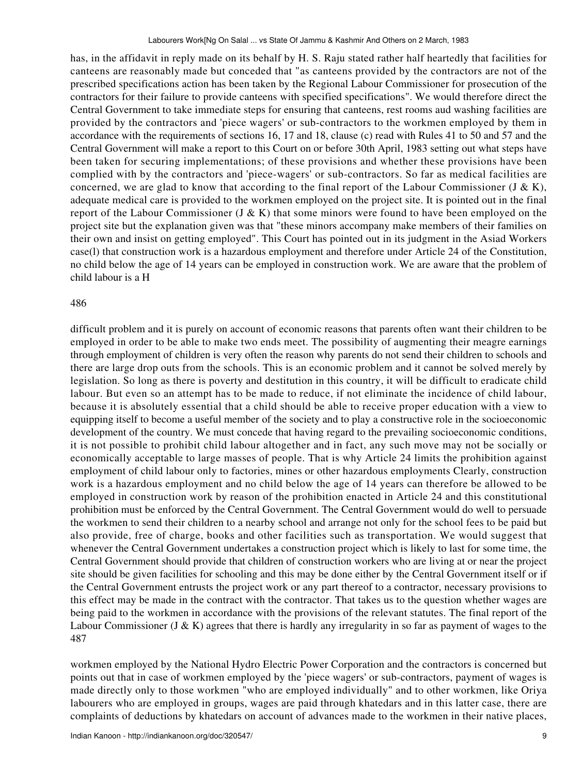has, in the affidavit in reply made on its behalf by H. S. Raju stated rather half heartedly that facilities for canteens are reasonably made but conceded that "as canteens provided by the contractors are not of the prescribed specifications action has been taken by the Regional Labour Commissioner for prosecution of the contractors for their failure to provide canteens with specified specifications". We would therefore direct the Central Government to take immediate steps for ensuring that canteens, rest rooms aud washing facilities are provided by the contractors and 'piece wagers' or sub-contractors to the workmen employed by them in accordance with the requirements of sections 16, 17 and 18, clause (c) read with Rules 41 to 50 and 57 and the Central Government will make a report to this Court on or before 30th April, 1983 setting out what steps have been taken for securing implementations; of these provisions and whether these provisions have been complied with by the contractors and 'piece-wagers' or sub-contractors. So far as medical facilities are concerned, we are glad to know that according to the final report of the Labour Commissioner (J & K), adequate medical care is provided to the workmen employed on the project site. It is pointed out in the final report of the Labour Commissioner (J & K) that some minors were found to have been employed on the project site but the explanation given was that "these minors accompany make members of their families on their own and insist on getting employed". This Court has pointed out in its judgment in the Asiad Workers case(l) that construction work is a hazardous employment and therefore under Article 24 of the Constitution, no child below the age of 14 years can be employed in construction work. We are aware that the problem of child labour is a H

#### 486

difficult problem and it is purely on account of economic reasons that parents often want their children to be employed in order to be able to make two ends meet. The possibility of augmenting their meagre earnings through employment of children is very often the reason why parents do not send their children to schools and there are large drop outs from the schools. This is an economic problem and it cannot be solved merely by legislation. So long as there is poverty and destitution in this country, it will be difficult to eradicate child labour. But even so an attempt has to be made to reduce, if not eliminate the incidence of child labour, because it is absolutely essential that a child should be able to receive proper education with a view to equipping itself to become a useful member of the society and to play a constructive role in the socioeconomic development of the country. We must concede that having regard to the prevailing socioeconomic conditions, it is not possible to prohibit child labour altogether and in fact, any such move may not be socially or economically acceptable to large masses of people. That is why Article 24 limits the prohibition against employment of child labour only to factories, mines or other hazardous employments Clearly, construction work is a hazardous employment and no child below the age of 14 years can therefore be allowed to be employed in construction work by reason of the prohibition enacted in Article 24 and this constitutional prohibition must be enforced by the Central Government. The Central Government would do well to persuade the workmen to send their children to a nearby school and arrange not only for the school fees to be paid but also provide, free of charge, books and other facilities such as transportation. We would suggest that whenever the Central Government undertakes a construction project which is likely to last for some time, the Central Government should provide that children of construction workers who are living at or near the project site should be given facilities for schooling and this may be done either by the Central Government itself or if the Central Government entrusts the project work or any part thereof to a contractor, necessary provisions to this effect may be made in the contract with the contractor. That takes us to the question whether wages are being paid to the workmen in accordance with the provisions of the relevant statutes. The final report of the Labour Commissioner (J & K) agrees that there is hardly any irregularity in so far as payment of wages to the 487

workmen employed by the National Hydro Electric Power Corporation and the contractors is concerned but points out that in case of workmen employed by the 'piece wagers' or sub-contractors, payment of wages is made directly only to those workmen "who are employed individually" and to other workmen, like Oriya labourers who are employed in groups, wages are paid through khatedars and in this latter case, there are complaints of deductions by khatedars on account of advances made to the workmen in their native places,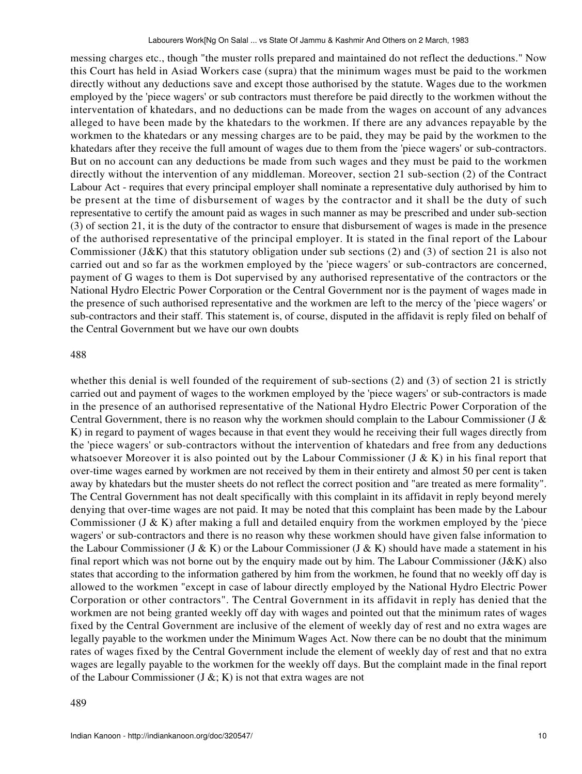messing charges etc., though "the muster rolls prepared and maintained do not reflect the deductions." Now this Court has held in Asiad Workers case (supra) that the minimum wages must be paid to the workmen directly without any deductions save and except those authorised by the statute. Wages due to the workmen employed by the 'piece wagers' or sub contractors must therefore be paid directly to the workmen without the interventation of khatedars, and no deductions can be made from the wages on account of any advances alleged to have been made by the khatedars to the workmen. If there are any advances repayable by the workmen to the khatedars or any messing charges are to be paid, they may be paid by the workmen to the khatedars after they receive the full amount of wages due to them from the 'piece wagers' or sub-contractors. But on no account can any deductions be made from such wages and they must be paid to the workmen directly without the intervention of any middleman. Moreover, section 21 sub-section (2) of the Contract Labour Act - requires that every principal employer shall nominate a representative duly authorised by him to be present at the time of disbursement of wages by the contractor and it shall be the duty of such representative to certify the amount paid as wages in such manner as may be prescribed and under sub-section (3) of section 21, it is the duty of the contractor to ensure that disbursement of wages is made in the presence of the authorised representative of the principal employer. It is stated in the final report of the Labour Commissioner (J&K) that this statutory obligation under sub sections (2) and (3) of section 21 is also not carried out and so far as the workmen employed by the 'piece wagers' or sub-contractors are concerned, payment of G wages to them is Dot supervised by any authorised representative of the contractors or the National Hydro Electric Power Corporation or the Central Government nor is the payment of wages made in the presence of such authorised representative and the workmen are left to the mercy of the 'piece wagers' or sub-contractors and their staff. This statement is, of course, disputed in the affidavit is reply filed on behalf of the Central Government but we have our own doubts

#### 488

whether this denial is well founded of the requirement of sub-sections (2) and (3) of section 21 is strictly carried out and payment of wages to the workmen employed by the 'piece wagers' or sub-contractors is made in the presence of an authorised representative of the National Hydro Electric Power Corporation of the Central Government, there is no reason why the workmen should complain to the Labour Commissioner (J & K) in regard to payment of wages because in that event they would he receiving their full wages directly from the 'piece wagers' or sub-contractors without the intervention of khatedars and free from any deductions whatsoever Moreover it is also pointed out by the Labour Commissioner (J & K) in his final report that over-time wages earned by workmen are not received by them in their entirety and almost 50 per cent is taken away by khatedars but the muster sheets do not reflect the correct position and "are treated as mere formality". The Central Government has not dealt specifically with this complaint in its affidavit in reply beyond merely denying that over-time wages are not paid. It may be noted that this complaint has been made by the Labour Commissioner (J  $\&$  K) after making a full and detailed enquiry from the workmen employed by the 'piece wagers' or sub-contractors and there is no reason why these workmen should have given false information to the Labour Commissioner (J & K) or the Labour Commissioner (J & K) should have made a statement in his final report which was not borne out by the enquiry made out by him. The Labour Commissioner (J&K) also states that according to the information gathered by him from the workmen, he found that no weekly off day is allowed to the workmen "except in case of labour directly employed by the National Hydro Electric Power Corporation or other contractors". The Central Government in its affidavit in reply has denied that the workmen are not being granted weekly off day with wages and pointed out that the minimum rates of wages fixed by the Central Government are inclusive of the element of weekly day of rest and no extra wages are legally payable to the workmen under the Minimum Wages Act. Now there can be no doubt that the minimum rates of wages fixed by the Central Government include the element of weekly day of rest and that no extra wages are legally payable to the workmen for the weekly off days. But the complaint made in the final report of the Labour Commissioner  $(J & g; K)$  is not that extra wages are not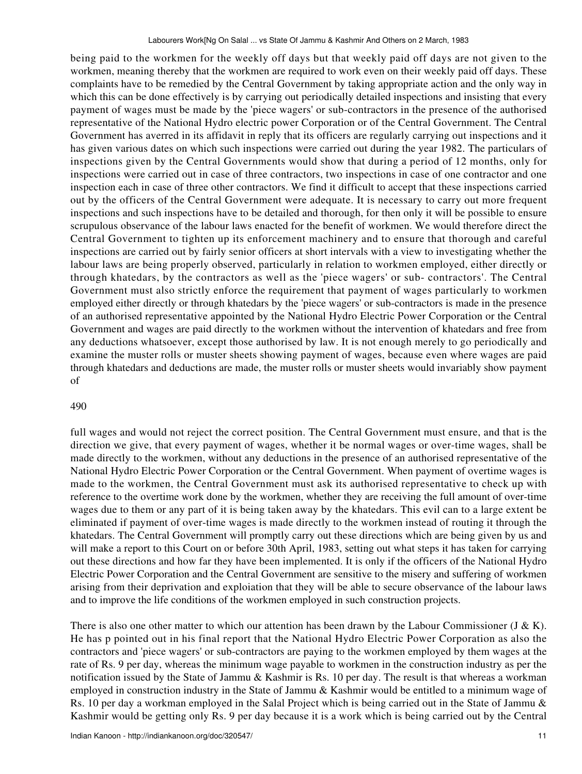being paid to the workmen for the weekly off days but that weekly paid off days are not given to the workmen, meaning thereby that the workmen are required to work even on their weekly paid off days. These complaints have to be remedied by the Central Government by taking appropriate action and the only way in which this can be done effectively is by carrying out periodically detailed inspections and insisting that every payment of wages must be made by the 'piece wagers' or sub-contractors in the presence of the authorised representative of the National Hydro electric power Corporation or of the Central Government. The Central Government has averred in its affidavit in reply that its officers are regularly carrying out inspections and it has given various dates on which such inspections were carried out during the year 1982. The particulars of inspections given by the Central Governments would show that during a period of 12 months, only for inspections were carried out in case of three contractors, two inspections in case of one contractor and one inspection each in case of three other contractors. We find it difficult to accept that these inspections carried out by the officers of the Central Government were adequate. It is necessary to carry out more frequent inspections and such inspections have to be detailed and thorough, for then only it will be possible to ensure scrupulous observance of the labour laws enacted for the benefit of workmen. We would therefore direct the Central Government to tighten up its enforcement machinery and to ensure that thorough and careful inspections are carried out by fairly senior officers at short intervals with a view to investigating whether the labour laws are being properly observed, particularly in relation to workmen employed, either directly or through khatedars, by the contractors as well as the 'piece wagers' or sub- contractors'. The Central Government must also strictly enforce the requirement that payment of wages particularly to workmen employed either directly or through khatedars by the 'piece wagers' or sub-contractors is made in the presence of an authorised representative appointed by the National Hydro Electric Power Corporation or the Central Government and wages are paid directly to the workmen without the intervention of khatedars and free from any deductions whatsoever, except those authorised by law. It is not enough merely to go periodically and examine the muster rolls or muster sheets showing payment of wages, because even where wages are paid through khatedars and deductions are made, the muster rolls or muster sheets would invariably show payment of

## 490

full wages and would not reject the correct position. The Central Government must ensure, and that is the direction we give, that every payment of wages, whether it be normal wages or over-time wages, shall be made directly to the workmen, without any deductions in the presence of an authorised representative of the National Hydro Electric Power Corporation or the Central Government. When payment of overtime wages is made to the workmen, the Central Government must ask its authorised representative to check up with reference to the overtime work done by the workmen, whether they are receiving the full amount of over-time wages due to them or any part of it is being taken away by the khatedars. This evil can to a large extent be eliminated if payment of over-time wages is made directly to the workmen instead of routing it through the khatedars. The Central Government will promptly carry out these directions which are being given by us and will make a report to this Court on or before 30th April, 1983, setting out what steps it has taken for carrying out these directions and how far they have been implemented. It is only if the officers of the National Hydro Electric Power Corporation and the Central Government are sensitive to the misery and suffering of workmen arising from their deprivation and exploiation that they will be able to secure observance of the labour laws and to improve the life conditions of the workmen employed in such construction projects.

There is also one other matter to which our attention has been drawn by the Labour Commissioner (J & K). He has p pointed out in his final report that the National Hydro Electric Power Corporation as also the contractors and 'piece wagers' or sub-contractors are paying to the workmen employed by them wages at the rate of Rs. 9 per day, whereas the minimum wage payable to workmen in the construction industry as per the notification issued by the State of Jammu & Kashmir is Rs. 10 per day. The result is that whereas a workman employed in construction industry in the State of Jammu & Kashmir would be entitled to a minimum wage of Rs. 10 per day a workman employed in the Salal Project which is being carried out in the State of Jammu & Kashmir would be getting only Rs. 9 per day because it is a work which is being carried out by the Central